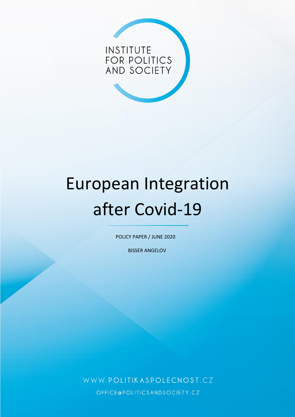

# European Integration after Covid-19

POLICY PAPER / JUNE 2020

BISSER ANGELOV

WWW.POLITIKASPOLECNOST.CZ OFFICE@POLITICSANDSOCIETY.CZ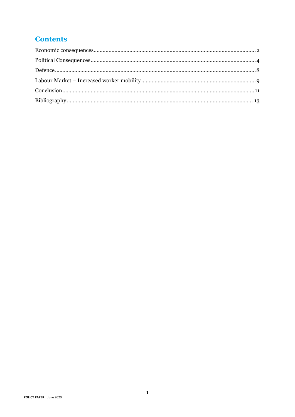### **Contents**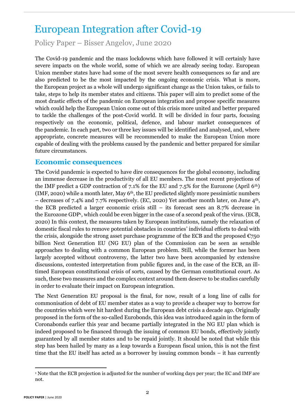## European Integration after Covid-19

Policy Paper – Bisser Angelov, June 2020

The Covid-19 pandemic and the mass lockdowns which have followed it will certainly have severe impacts on the whole world, some of which we are already seeing today. European Union member states have had some of the most severe health consequences so far and are also predicted to be the most impacted by the ongoing economic crisis. What is more, the European project as a whole will undergo significant change as the Union takes, or fails to take, steps to help its member states and citizens. This paper will aim to predict some of the most drastic effects of the pandemic on European integration and propose specific measures which could help the European Union come out of this crisis more united and better prepared to tackle the challenges of the post-Covid world. It will be divided in four parts, focusing respectively on the economic, political, defence, and labour market consequences of the pandemic. In each part, two or three key issues will be identified and analysed, and, where appropriate, concrete measures will be recommended to make the European Union more capable of dealing with the problems caused by the pandemic and better prepared for similar future circumstances.

#### <span id="page-2-0"></span>**Economic consequences**

The Covid pandemic is expected to have dire consequences for the global economy, including an immense decrease in the productivity of all EU members. The most recent projections of the IMF predict a GDP contraction of 7.1% for the EU and 7.5% for the Eurozone (April  $6<sup>th</sup>$ ) (IMF, 2020) while a month later, May  $6<sup>th</sup>$ , the EU predicted slightly more pessimistic numbers – decreases of 7.4% and 7.7% respectively. (EC, 2020) Yet another month later, on June 4th, the ECB predicted a larger economic crisis still – its forecast sees an 8.7% decrease in the Eurozone GDP<sup>1</sup> , which could be even bigger in the case of a second peak of the virus. (ECB, 2020) In this context, the measures taken by European institutions, namely the relaxation of domestic fiscal rules to remove potential obstacles in countries' individual efforts to deal with the crisis, alongside the strong asset purchase programme of the ECB and the proposed  $\epsilon$ 750 billion Next Generation EU (NG EU) plan of the Commission can be seen as sensible approaches to dealing with a common European problem. Still, while the former has been largely accepted without controversy, the latter two have been accompanied by extensive discussions, contested interpretation from public figures and, in the case of the ECB, an illtimed European constitutional crisis of sorts, caused by the German constitutional court. As such, these two measures and the complex context around them deserve to be studies carefully in order to evaluate their impact on European integration.

The Next Generation EU proposal is the final, for now, result of a long line of calls for commonisation of debt of EU member states as a way to provide a cheaper way to borrow for the countries which were hit hardest during the European debt crisis a decade ago. Originally proposed in the form of the so-called Eurobonds, this idea was introduced again in the form of Coronabonds earlier this year and became partially integrated in the NG EU plan which is indeed proposed to be financed through the issuing of common EU bonds, effectively jointly guaranteed by all member states and to be repaid jointly. It should be noted that while this step has been hailed by many as a leap towards a European fiscal union, this is not the first time that the EU itself has acted as a borrower by issuing common bonds – it has currently

<sup>1</sup> Note that the ECB projection is adjusted for the number of working days per year; the EC and IMF are not.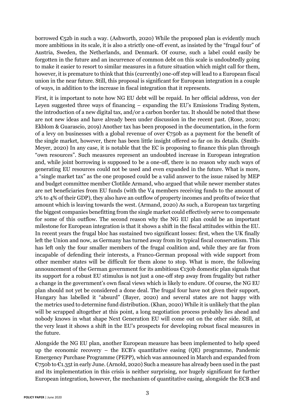borrowed  $\epsilon$ 52b in such a way. (Ashworth, 2020) While the proposed plan is evidently much more ambitious in its scale, it is also a strictly one-off event, as insisted by the "frugal four" of Austria, Sweden, the Netherlands, and Denmark. Of course, such a label could easily be forgotten in the future and an incurrence of common debt on this scale is undoubtedly going to make it easier to resort to similar measures in a future situation which might call for them, however, it is premature to think that this (currently) one-off step will lead to a European fiscal union in the near future. Still, this proposal is significant for European integration in a couple of ways, in addition to the increase in fiscal integration that it represents.

First, it is important to note how NG EU debt will be repaid. In her official address, von der Leyen suggested three ways of financing – expanding the EU's Emissions Trading System, the introduction of a new digital tax, and/or a carbon border tax. It should be noted that these are not new ideas and have already been under discussion in the recent past. (Rose, 2020; Ekblom & Guarascio, 2019) Another tax has been proposed in the documentation, in the form of a levy on businesses with a global revenue of over  $\epsilon$ 750b as a payment for the benefit of the single market, however, there has been little insight offered so far on its details. (Smith-Meyer, 2020) In any case, it is notable that the EC is proposing to finance this plan through "own resources". Such measures represent an undoubted increase in European integration and, while joint borrowing is supposed to be a one-off, there is no reason why such ways of generating EU resources could not be used and even expanded in the future. What is more, a "single market tax" as the one proposed could be a valid answer to the issue raised by MEP and budget committee member Clotilde Armand, who argued that while newer member states are net beneficiaries from EU funds (with the V4 members receiving funds to the amount of 2% to 4% of their GDP), they also have an outflow of property incomes and profits of twice that amount which is leaving towards the west. (Armand, 2020) As such, a European tax targeting the biggest companies benefitting from the single market could effectively serve to compensate for some of this outflow. The second reason why the NG EU plan could be an important milestone for European integration is that it shows a shift in the fiscal attitudes within the EU. In recent years the frugal bloc has sustained two significant losses: first, when the UK finally left the Union and now, as Germany has turned away from its typical fiscal conservatism. This has left only the four smaller members of the frugal coalition and, while they are far from incapable of defending their interests, a Franco-German proposal with wide support from other member states will be difficult for them alone to stop. What is more, the following announcement of the German government for its ambitious  $\epsilon$ 130b domestic plan signals that its support for a robust EU stimulus is not just a one-off step away from frugality but rather a change in the government's own fiscal views which is likely to endure. Of course, the NG EU plan should not yet be considered a done deal. The frugal four have not given their support, Hungary has labelled it "absurd" (Bayer, 2020) and several states are not happy with the metrics used to determine fund distribution. (Khan, 2020) While it is unlikely that the plan will be scrapped altogether at this point, a long negotiation process probably lies ahead and nobody knows in what shape Next Generation EU will come out on the other side. Still, at the very least it shows a shift in the EU's prospects for developing robust fiscal measures in the future.

Alongside the NG EU plan, another European measure has been implemented to help speed up the economic recovery – the ECB's quantitative easing (QE) programme, Pandemic Emergency Purchase Programme (PEPP), which was announced in March and expanded from €750b to €1.35t in early June. (Arnold, 2020) Such a measure has already been used in the past and its implementation in this crisis is neither surprising, nor hugely significant for further European integration, however, the mechanism of quantitative easing, alongside the ECB and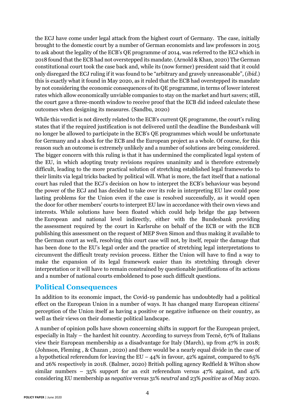the ECJ have come under legal attack from the highest court of Germany. The case, initially brought to the domestic court by a number of German economists and law professors in 2015 to ask about the legality of the ECB's QE programme of 2014, was referred to the ECJ which in 2018 found that the ECB had not overstepped its mandate.(Arnold & Khan, 2020) The German constitutional court took the case back and, while its (now former) president said that it could only disregard the ECJ ruling if it was found to be "arbitrary and gravely unreasonable", (*ibid.*) this is exactly what it found in May 2020, as it ruled that the ECB had overstepped its mandate by not considering the economic consequences of its QE programme, in terms of lower interest rates which allow economically unviable companies to stay on the market and hurt savers; still, the court gave a three-month window to receive proof that the ECB did indeed calculate these outcomes when designing its measures. (Sandbu, 2020)

While this verdict is not directly related to the ECB's current QE programme, the court's ruling states that if the required justification is not delivered until the deadline the Bundesbank will no longer be allowed to participate in the ECB's QE programmes which would be unfortunate for Germany and a shock for the ECB and the European project as a whole. Of course, for this reason such an outcome is extremely unlikely and a number of solutions are being considered. The bigger concern with this ruling is that it has undermined the complicated legal system of the EU, in which adopting treaty revisions requires unanimity and is therefore extremely difficult, leading to the more practical solution of stretching established legal frameworks to their limits via legal tricks backed by political will. What is more, the fact itself that a national court has ruled that the ECJ's decision on how to interpret the ECB's behaviour was beyond the power of the ECJ and has decided to take over its role in interpreting EU law could pose lasting problems for the Union even if the case is resolved successfully, as it would open the door for other members' courts to interpret EU law in accordance with their own views and interests. While solutions have been floated which could help bridge the gap between the European and national level indirectly, either with the Bundesbank providing the assessment required by the court in Karlsruhe on behalf of the ECB or with the ECB publishing this assessment on the request of MEP Sven Simon and thus making it available to the German court as well, resolving this court case will not, by itself, repair the damage that has been done to the EU's legal order and the practice of stretching legal interpretations to circumvent the difficult treaty revision process. Either the Union will have to find a way to make the expansion of its legal framework easier than its stretching through clever interpretation or it will have to remain constrained by questionable justifications of its actions and a number of national courts emboldened to pose such difficult questions.

#### <span id="page-4-0"></span>**Political Consequences**

In addition to its economic impact, the Covid-19 pandemic has undoubtedly had a political effect on the European Union in a number of ways. It has changed many European citizens' perception of the Union itself as having a positive or negative influence on their country, as well as their views on their domestic political landscape.

A number of opinion polls have shown concerning shifts in support for the European project, especially in Italy – the hardest hit country. According to surveys from Tecnè, 67% of Italians view their European membership as a disadvantage for Italy (March), up from 47% in 2018; (Johnson, Fleming , & Chazan , 2020) and there would be a nearly equal divide in the case of a hypothetical referendum for leaving the EU –  $44\%$  in favour,  $42\%$  against, compared to 65% and 26% respectively in 2018. (Balmer, 2020) British polling agency Redfield & Wilton show similar numbers – 35% support for an exit referendum versus 47% against, and 41% considering EU membership as *negative* versus 31% *neutral* and 23% *positive* as of May 2020.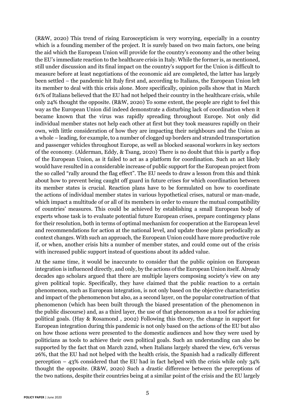(R&W, 2020) This trend of rising Euroscepticism is very worrying, especially in a country which is a founding member of the project. It is surely based on two main factors, one being the aid which the European Union will provide for the country's economy and the other being the EU's immediate reaction to the healthcare crisis in Italy. While the former is, as mentioned, still under discussion and its final impact on the country's support for the Union is difficult to measure before at least negotiations of the economic aid are completed, the latter has largely been settled – the pandemic hit Italy first and, according to Italians, the European Union left its member to deal with this crisis alone. More specifically, opinion polls show that in March 61% of Italians believed that the EU had not helped their country in the healthcare crisis, while only 24% thought the opposite. (R&W, 2020) To some extent, the people are right to feel this way as the European Union did indeed demonstrate a disturbing lack of coordination when it became known that the virus was rapidly spreading throughout Europe. Not only did individual member states not help each other at first but they took measures rapidly on their own, with little consideration of how they are impacting their neighbours and the Union as a whole – leading, for example, to a number of clogged up borders and stranded transportation and passenger vehicles throughout Europe, as well as blocked seasonal workers in key sectors of the economy. (Alderman, Eddy, & Tsang, 2020) There is no doubt that this is partly a flop of the European Union, as it failed to act as a platform for coordination. Such an act likely would have resulted in a considerable increase of public support for the European project from the so called "rally around the flag effect". The EU needs to draw a lesson from this and think about how to prevent being caught off guard in future crises for which coordination between its member states is crucial. Reaction plans have to be formulated on how to coordinate the actions of individual member states in various hypothetical crises, natural or man-made, which impact a multitude of or all of its members in order to ensure the mutual compatibility of countries' measures. This could be achieved by establishing a small European body of experts whose task is to evaluate potential future European crises, prepare contingency plans for their resolution, both in terms of optimal mechanism for cooperation at the European level and recommendations for action at the national level, and update those plans periodically as context changes. With such an approach, the European Union could have more productive role if, or when, another crisis hits a number of member states, and could come out of the crisis with increased public support instead of questions about its added value.

At the same time, it would be inaccurate to consider that the public opinion on European integration is influenced directly, and only, by the actions of the European Union itself. Already decades ago scholars argued that there are multiple layers composing society's view on any given political topic. Specifically, they have claimed that the public reaction to a certain phenomenon, such as European integration, is not only based on the objective characteristics and impact of the phenomenon but also, as a second layer, on the popular construction of that phenomenon (which has been built through the biased presentation of the phenomenon in the public discourse) and, as a third layer, the use of that phenomenon as a tool for achieving political goals. (Hay & Rosamond , 2002) Following this theory, the change in support for European integration during this pandemic is not only based on the actions of the EU but also on how those actions were presented to the domestic audiences and how they were used by politicians as tools to achieve their own political goals. Such an understanding can also be supported by the fact that on March 22nd, when Italians largely shared the view, 61% versus 26%, that the EU had not helped with the health crisis, the Spanish had a radically different perception – 43% considered that the EU had in fact helped with the crisis while only 34% thought the opposite. (R&W, 2020) Such a drastic difference between the perceptions of the two nations, despite their countries being at a similar point of the crisis and the EU largely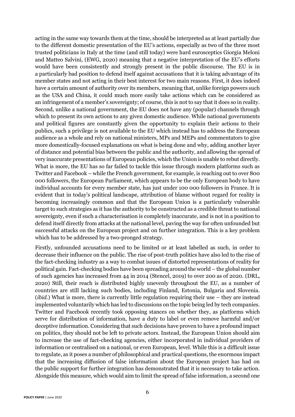acting in the same way towards them at the time, should be interpreted as at least partially due to the different domestic presentation of the EU's actions, especially as two of the three most trusted politicians in Italy at the time (and still today) were hard eurosceptics Giorgia Meloni and Matteo Salvini, (EWG, 2020) meaning that a negative interpretation of the EU's efforts would have been consistently and strongly present in the public discourse. The EU is in a particularly bad position to defend itself against accusations that it is taking advantage of its member states and not acting in their best interest for two main reasons. First, it does indeed have a certain amount of authority over its members, meaning that, unlike foreign powers such as the USA and China, it could much more easily take actions which can be considered as an infringement of a member's sovereignty; of course, this is not to say that it does so in reality. Second, unlike a national government, the EU does not have any (popular) channels through which to present its own actions to any given domestic audience. While national governments and political figures are constantly given the opportunity to explain their actions to their publics, such a privilege is not available to the EU which instead has to address the European audience as a whole and rely on national ministers, MPs and MEPs and commentators to give more domestically-focused explanations on what is being done and why, adding another layer of distance and potential bias between the public and the authority, and allowing the spread of very inaccurate presentations of European policies, which the Union is unable to rebut directly. What is more, the EU has so far failed to tackle this issue through modern platforms such as Twitter and Facebook – while the French government, for example, is reaching out to over 800 000 followers, the European Parliament, which appears to be the only European body to have individual accounts for every member state, has just under 100 000 followers in France. It is evident that in today's political landscape, attribution of blame without regard for reality is becoming increasingly common and that the European Union is a particularly vulnerable target to such strategies as it has the authority to be constructed as a credible threat to national sovereignty, even if such a characterisation is completely inaccurate, and is not in a position to defend itself directly from attacks at the national level, paving the way for often unfounded but successful attacks on the European project and on further integration. This is a key problem which has to be addressed by a two-pronged strategy.

Firstly, unfounded accusations need to be limited or at least labelled as such, in order to decrease their influence on the public. The rise of post-truth politics have also led to the rise of the fact-checking industry as a way to combat issues of distorted representations of reality for political gain. Fact-checking bodies have been spreading around the world – the global number of such agencies has increased from 44 in 2014 (Stencel, 2019) to over 200 as of 2020. (DRL, 2020) Still, their reach is distributed highly unevenly throughout the EU, as a number of countries are still lacking such bodies, including Finland, Estonia, Bulgaria and Slovenia. (*ibid.*) What is more, there is currently little regulation requiring their use – they are instead implemented voluntarily which has led to discussions on the topic being led by tech companies. Twitter and Facebook recently took opposing stances on whether they, as platforms which serve for distribution of information, have a duty to label or even remove harmful and/or deceptive information. Considering that such decisions have proven to have a profound impact on politics, they should not be left to private actors. Instead, the European Union should aim to increase the use of fact-checking agencies, either incorporated in individual providers of information or centralised on a national, or even European, level. While this is a difficult issue to regulate, as it poses a number of philosophical and practical questions, the enormous impact that the increasing diffusion of false information about the European project has had on the public support for further integration has demonstrated that it is necessary to take action. Alongside this measure, which would aim to limit the spread of false information, a second one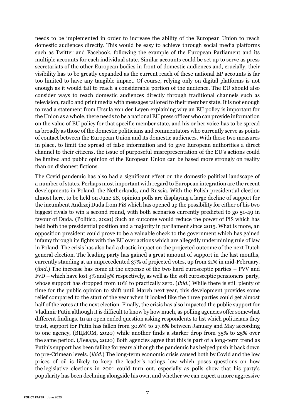needs to be implemented in order to increase the ability of the European Union to reach domestic audiences directly. This would be easy to achieve through social media platforms such as Twitter and Facebook, following the example of the European Parliament and its multiple accounts for each individual state. Similar accounts could be set up to serve as press secretariats of the other European bodies in front of domestic audiences and, crucially, their visibility has to be greatly expanded as the current reach of these national EP accounts is far too limited to have any tangible impact. Of course, relying only on digital platforms is not enough as it would fail to reach a considerable portion of the audience. The EU should also consider ways to reach domestic audiences directly through traditional channels such as television, radio and print media with messages tailored to their member state. It is not enough to read a statement from Ursula von der Leyen explaining why an EU policy is important for the Union as a whole, there needs to be a national EU press officer who can provide information on the value of EU policy for that specific member state, and his or her voice has to be spread as broadly as those of the domestic politicians and commentators who currently serve as points of contact between the European Union and its domestic audiences. With these two measures in place, to limit the spread of false information and to give European authorities a direct channel to their citizens, the issue of purposeful misrepresentation of the EU's actions could be limited and public opinion of the European Union can be based more strongly on reality than on dishonest fictions.

The Covid pandemic has also had a significant effect on the domestic political landscape of a number of states. Perhaps most important with regard to European integration are the recent developments in Poland, the Netherlands, and Russia. With the Polish presidential election almost here, to be held on June 28, opinion polls are displaying a large decline of support for the incumbent Andrzej Duda from PiS which has opened up the possibility for either of his two biggest rivals to win a second round, with both scenarios currently predicted to go 51-49 in favour of Duda. (Politico, 2020) Such an outcome would reduce the power of PiS which has held both the presidential position and a majority in parliament since 2015. What is more, an opposition president could prove to be a valuable check to the government which has gained infamy through its fights with the EU over actions which are allegedly undermining rule of law in Poland. The crisis has also had a drastic impact on the projected outcome of the next Dutch general election. The leading party has gained a great amount of support in the last months, currently standing at an unprecedented 37% of projected votes, up from 21% in mid-February. (*ibid.*) The increase has come at the expense of the two hard eurosceptic parties – PVV and FvD – which have lost 3% and 5% respectively, as well as the soft eurosceptic pensioners' party, whose support has dropped from 10% to practically zero. (*ibid.*) While there is still plenty of time for the public opinion to shift until March next year, this development provides some relief compared to the start of the year when it looked like the three parties could get almost half of the votes at the next election. Finally, the crisis has also impacted the public support for Vladimir Putin although it is difficult to know by how much, as polling agencies offer somewhat different findings. In an open ended question asking respondents to list which politicians they trust, support for Putin has fallen from 30.6% to 27.6% between January and May according to one agency, (ВЦИОМ, 2020) while another finds a starker drop from 35% to 25% over the same period. (Левада, 2020) Both agencies agree that this is part of a long-term trend as Putin's support has been falling for years although the pandemic has helped push it back down to pre-Crimean levels. (*ibid.*) The long-term economic crisis caused both by Covid and the low prices of oil is likely to keep the leader's ratings low which poses questions on how the legislative elections in 2021 could turn out, especially as polls show that his party's popularity has been declining alongside his own, and whether we can expect a more aggressive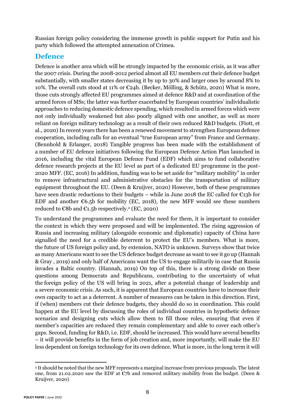Russian foreign policy considering the immense growth in public support for Putin and his party which followed the attempted annexation of Crimea.

#### <span id="page-8-0"></span>**Defence**

Defence is another area which will be strongly impacted by the economic crisis, as it was after the 2007 crisis. During the 2008-2012 period almost all EU members cut their defence budget substantially, with smaller states decreasing it by up to 30% and larger ones by around 8% to 10%. The overall cuts stood at 11% or €24b. (Becker, Mölling, & Schütz, 2020) What is more, those cuts strongly affected EU programmes aimed at defence R&D and at coordination of the armed forces of MSs; the latter was further exacerbated by European countries' individualistic approaches to reducing domestic defence spending, which resulted in armed forces which were not only individually weakened but also poorly aligned with one another, as well as more reliant on foreign military technology as a result of their own reduced R&D budgets. (Fiott, et al., 2020) In recent years there has been a renewed movement to strengthen European defence cooperation, including calls for an eventual "true European army" from France and Germany. (Bennhold & Erlanger, 2018) Tangible progress has been made with the establishment of a number of EU defence initiatives following the European Defence Action Plan launched in 2016, including the vital European Defence Fund (EDF) which aims to fund collaborative defence research projects at the EU level as part of a dedicated EU programme in the post-2020 MFF. (EC, 2016) In addition, funding was to be set aside for "military mobility" in order to remove infrastructural and administrative obstacles for the transportation of military equipment throughout the EU. (Deen & Kruijver, 2020) However, both of these programmes have seen drastic reductions to their budgets – while in June 2018 the EC called for €13b for EDF and another  $\epsilon$ 6.5b for mobility (EC, 2018), the new MFF would see these numbers reduced to  $\varepsilon$ 8b and  $\varepsilon$ 1.5b respectively.<sup>2</sup> (EC, 2020)

To understand the programmes and evaluate the need for them, it is important to consider the context in which they were proposed and will be implemented. The rising aggression of Russia and increasing military (alongside economic and diplomatic) capacity of China have signalled the need for a credible deterrent to protect the EU's members. What is more, the future of US foreign policy and, by extension, NATO is unknown. Surveys show that twice as many Americans want to see the US defence budget decrease as want to see it go up (Hannah & Gray , 2019) and only half of Americans want the US to engage militarily in case that Russia invades a Baltic country. (Hannah, 2019) On top of this, there is a strong divide on these questions among Democrats and Republicans, contributing to the uncertainty of what the foreign policy of the US will bring in 2021, after a potential change of leadership and a severe economic crisis. As such, it is apparent that European countries have to increase their own capacity to act as a deterrent. A number of measures can be taken in this direction. First, if (when) members cut their defence budgets, they should do so in coordination. This could happen at the EU level by discussing the roles of individual countries in hypothetic defence scenarios and designing cuts which allow them to fill those roles, ensuring that even if member's capacities are reduced they remain complementary and able to cover each other's gaps. Second, funding for R&D, i.e. EDF, should be increased. This would have several benefits – it will provide benefits in the form of job creation and, more importantly, will make the EU less dependent on foreign technology for its own defence. What is more, in the long term it will

<sup>2</sup> It should be noted that the new MFF represents a marginal increase from previous proposals. The latest one, from 21.02.2020 saw the EDF at  $\mathfrak{C}$  and removed military mobility from the budget. (Deen & Kruijver, 2020)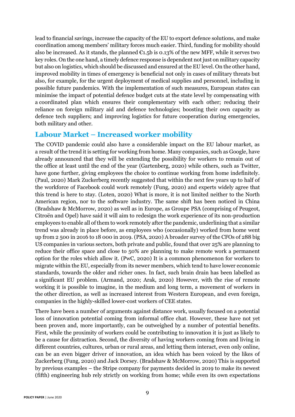lead to financial savings, increase the capacity of the EU to export defence solutions, and make coordination among members' military forces much easier. Third, funding for mobility should also be increased. As it stands, the planned  $\epsilon$ 1.5b is 0.13% of the new MFF, while it serves two key roles. On the one hand, a timely defence response is dependent not just on military capacity but also on logistics, which should be discussed and ensured at the EU level. On the other hand, improved mobility in times of emergency is beneficial not only in cases of military threats but also, for example, for the urgent deployment of medical supplies and personnel, including in possible future pandemics. With the implementation of such measures, European states can minimise the impact of potential defence budget cuts at the state level by compensating with a coordinated plan which ensures their complementary with each other; reducing their reliance on foreign military aid and defence technologies; boosting their own capacity as defence tech suppliers; and improving logistics for future cooperation during emergencies, both military and other.

#### <span id="page-9-0"></span>**Labour Market – Increased worker mobility**

The COVID pandemic could also have a considerable impact on the EU labour market, as a result of the trend it is setting for working from home. Many companies, such as Google, have already announced that they will be extending the possibility for workers to remain out of the office at least until the end of the year (Gartenberg, 2020) while others, such as Twitter, have gone further, giving employees the choice to continue working from home indefinitely. (Paul, 2020) Mark Zuckerberg recently suggested that within the next few years up to half of the workforce of Facebook could work remotely (Fung, 2020) and experts widely agree that this trend is here to stay. (Loten, 2020) What is more, it is not limited neither to the North American region, nor to the software industry. The same shift has been noticed in China (Bradshaw & McMorrow, 2020) as well as in Europe, as Groupe PSA (comprising of Peugeot, Citroën and Opel) have said it will aim to redesign the work experience of its non-production employees to enable all of them to work remotely after the pandemic, underlining that a similar trend was already in place before, as employees who (occasionally) worked from home went up from 2 500 in 2016 to 18 000 in 2019. (PSA, 2020) A broader survey of the CFOs of 288 big US companies in various sectors, both private and public, found that over 25% are planning to reduce their office space and close to 50% are planning to make remote work a permanent option for the roles which allow it. (PwC, 2020) It is a common phenomenon for workers to migrate within the EU, especially from its newer members, which tend to have lower economic standards, towards the older and richer ones. In fact, such brain drain has been labelled as a significant EU problem. (Armand, 2020; Arak, 2020) However, with the rise of remote working it is possible to imagine, in the medium and long term, a movement of workers in the other direction, as well as increased interest from Western European, and even foreign, companies in the highly-skilled lower-cost workers of CEE states.

There have been a number of arguments against distance work, usually focused on a potential loss of innovation potential coming from informal office chat. However, these have not yet been proven and, more importantly, can be outweighed by a number of potential benefits. First, while the proximity of workers could be contributing to innovation it is just as likely to be a cause for distraction. Second, the diversity of having workers coming from and living in different countries, cultures, urban or rural areas, and letting them interact, even only online, can be an even bigger driver of innovation, an idea which has been voiced by the likes of Zuckerberg (Fung, 2020) and Jack Dorsey. (Bradshaw & McMorrow, 2020) This is supported by previous examples – the Stripe company for payments decided in 2019 to make its newest (fifth) engineering hub rely strictly on working from home; while even its own expectations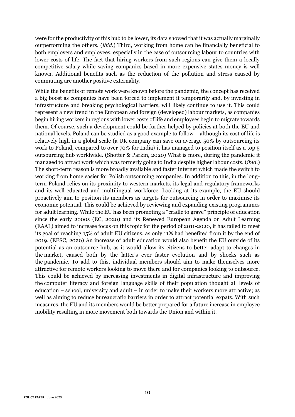were for the productivity of this hub to be lower, its data showed that it was actually marginally outperforming the others. (*ibid.*) Third, working from home can be financially beneficial to both employers and employees, especially in the case of outsourcing labour to countries with lower costs of life. The fact that hiring workers from such regions can give them a locally competitive salary while saving companies based in more expensive states money is well known. Additional benefits such as the reduction of the pollution and stress caused by commuting are another positive externality.

While the benefits of remote work were known before the pandemic, the concept has received a big boost as companies have been forced to implement it temporarily and, by investing in infrastructure and breaking psychological barriers, will likely continue to use it. This could represent a new trend in the European and foreign (developed) labour markets, as companies begin hiring workers in regions with lower costs of life and employees begin to migrate towards them. Of course, such a development could be further helped by policies at both the EU and national levels. Poland can be studied as a good example to follow – although its cost of life is relatively high in a global scale (a UK company can save on average 50% by outsourcing its work to Poland, compared to over 70% for India) it has managed to position itself as a top 5 outsourcing hub worldwide. (Shotter & Parkin, 2020) What is more, during the pandemic it managed to attract work which was formerly going to India despite higher labour costs. (*ibid.*) The short-term reason is more broadly available and faster internet which made the switch to working from home easier for Polish outsourcing companies. In addition to this, in the longterm Poland relies on its proximity to western markets, its legal and regulatory frameworks and its well-educated and multilingual workforce. Looking at its example, the EU should proactively aim to position its members as targets for outsourcing in order to maximise its economic potential. This could be achieved by reviewing and expanding existing programmes for adult learning. While the EU has been promoting a "cradle to grave" principle of education since the early 2000s (EC, 2020) and its Renewed European Agenda on Adult Learning (EAAL) aimed to increase focus on this topic for the period of 2011-2020, it has failed to meet its goal of reaching 15% of adult EU citizens, as only 11% had benefited from it by the end of 2019. (EESC, 2020) An increase of adult education would also benefit the EU outside of its potential as an outsource hub, as it would allow its citizens to better adapt to changes in the market, caused both by the latter's ever faster evolution and by shocks such as the pandemic. To add to this, individual members should aim to make themselves more attractive for remote workers looking to move there and for companies looking to outsource. This could be achieved by increasing investments in digital infrastructure and improving the computer literacy and foreign language skills of their population thought all levels of education – school, university and adult – in order to make their workers more attractive; as well as aiming to reduce bureaucratic barriers in order to attract potential expats. With such measures, the EU and its members would be better prepared for a future increase in employee mobility resulting in more movement both towards the Union and within it.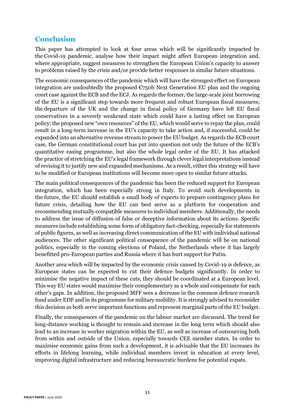#### <span id="page-11-0"></span>**Conclusion**

This paper has attempted to look at four areas which will be significantly impacted by the Covid-19 pandemic, analyse how their impact might affect European integration and, where appropriate, suggest measures to strengthen the European Union's capacity to answer to problems raised by the crisis and/or provide better responses in similar future situations.

The economic consequences of the pandemic which will have the strongest effect on European integration are undoubtedly the proposed  $\epsilon$ 750b Next Generation EU plan and the ongoing court case against the ECB and the ECJ. As regards the former, the large-scale joint borrowing of the EU is a significant step towards more frequent and robust European fiscal measures; the departure of the UK and the change in fiscal policy of Germany have left EU fiscal conservatives in a severely weakened state which could have a lasting effect on European policy; the proposed new "own resources" of the EU, which would serve to repay the plan, could result in a long-term increase in the EU's capacity to take action and, if successful, could be expanded into an alternative revenue stream to power the EU budget. As regards the ECB court case, the German constitutional court has put into question not only the future of the ECB's quantitative easing programme, but also the whole legal order of the EU. It has attacked the practice of stretching the EU's legal framework through clever legal interpretations instead of revising it to justify new and expanded mechanisms. As a result, either this strategy will have to be modified or European institutions will become more open to similar future attacks.

The main political consequences of the pandemic has been the reduced support for European integration, which has been especially strong in Italy. To avoid such developments in the future, the EU should establish a small body of experts to prepare contingency plans for future crisis, detailing how the EU can best serve as a platform for cooperation and recommending mutually compatible measures to individual members. Additionally, the needs to address the issue of diffusion of false or deceptive information about its actions. Specific measures include establishing some form of obligatory fact-checking, especially for statements of public figures, as well as increasing direct communication of the EU with individual national audiences. The other significant political consequence of the pandemic will be on national politics, especially in the coming elections of Poland, the Netherlands where it has largely benefitted pro-European parties and Russia where it has hurt support for Putin.

Another area which will be impacted by the economic crisis caused by Covid-19 is defence, as European states can be expected to cut their defence budgets significantly. In order to minimise the negative impact of these cuts, they should be coordinated at a European level. This way EU states would maximise their complementary as a whole and compensate for each other's gaps. In addition, the proposed MFF sees a decrease in the common defence research fund under EDF and in its programme for military mobility. It is strongly advised to reconsider this decision as both serve important functions and represent marginal parts of the EU budget.

Finally, the consequences of the pandemic on the labour market are discussed. The trend for long-distance working is thought to remain and increase in the long term which should also lead to an increase in worker migration within the EU, as well as increase of outsourcing both from within and outside of the Union, especially towards CEE member states. In order to maximise economic gains from such a development, it is advisable that the EU increases its efforts in lifelong learning, while individual members invest in education at every level, improving digital infrastructure and reducing bureaucratic burdens for potential expats.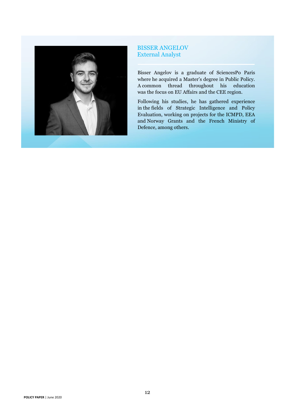

#### BISSER ANGELOV External Analyst

Bisser Angelov is a graduate of SciencesPo Paris where he acquired a Master's degree in Public Policy. A common thread throughout his education was the focus on EU Affairs and the CEE region.

Following his studies, he has gathered experience in the fields of Strategic Intelligence and Policy Evaluation, working on projects for the ICMPD, EEA and Norway Grants and the French Ministry of Defence, among others.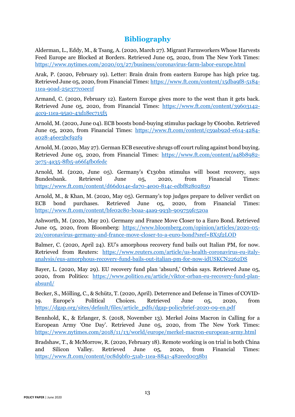#### **Bibliography**

<span id="page-13-0"></span>Alderman, L., Eddy, M., & Tsang, A. (2020, March 27). Migrant Farmworkers Whose Harvests Feed Europe are Blocked at Borders. Retrieved June 05, 2020, from The New York Times: <https://www.nytimes.com/2020/03/27/business/coronavirus-farm-labor-europe.html>

Arak, P. (2020, February 19). Letter: Brain drain from eastern Europe has high price tag. Retrieved June 05, 2020, from Financial Times[: https://www.ft.com/content/15dba9f8-5184-](https://www.ft.com/content/15dba9f8-5184-11ea-90ad-25e377c0ee1f) [11ea-90ad-25e377c0ee1f](https://www.ft.com/content/15dba9f8-5184-11ea-90ad-25e377c0ee1f)

Armand, C. (2020, February 12). Eastern Europe gives more to the west than it gets back. Retrieved June 05, 2020, from Financial Times: [https://www.ft.com/content/39603142-](https://www.ft.com/content/39603142-4cc9-11ea-95a0-43d18ec715f5) [4cc9-11ea-95a0-43d18ec715f5](https://www.ft.com/content/39603142-4cc9-11ea-95a0-43d18ec715f5)

Arnold, M. (2020, June 04). ECB boosts bond-buying stimulus package by  $\epsilon$ 600bn. Retrieved June 05, 2020, from Financial Times: [https://www.ft.com/content/c59ab92d-e614-4284](https://www.ft.com/content/c59ab92d-e614-4284-a028-46ee3bcf92f9) [a028-46ee3bcf92f9](https://www.ft.com/content/c59ab92d-e614-4284-a028-46ee3bcf92f9)

Arnold, M. (2020, May 27). German ECB executive shrugs off court ruling against bond buying. Retrieved June 05, 2020, from Financial Times: [https://www.ft.com/content/a48b8982-](https://www.ft.com/content/a48b8982-3e75-4a35-8fb5-a66f4fb0fedc) [3e75-4a35-8fb5-a66f4fb0fedc](https://www.ft.com/content/a48b8982-3e75-4a35-8fb5-a66f4fb0fedc)

Arnold, M. (2020, June 05). Germany's €130bn stimulus will boost recovery, says Bundesbank. Retrieved June 05, 2020, from Financial Times: <https://www.ft.com/content/d66d014e-da70-4e00-814c-edbf82802850>

Arnold, M., & Khan, M. (2020, May 05). Germany's top judges prepare to deliver verdict on ECB bond purchases. Retrieved June 05, 2020, from Financial Times: <https://www.ft.com/content/bfe02c80-b0aa-4aa9-993b-909759fc520a>

Ashworth, M. (2020, May 20). Germany and France Move Closer to a Euro Bond. Retrieved June 05, 2020, from Bloomberg: [https://www.bloomberg.com/opinion/articles/2020-05-](https://www.bloomberg.com/opinion/articles/2020-05-20/coronavirus-germany-and-france-move-closer-to-a-euro-bond?sref=BX5f2LOD) [20/coronavirus-germany-and-france-move-closer-to-a-euro-bond?sref=BX5f2LOD](https://www.bloomberg.com/opinion/articles/2020-05-20/coronavirus-germany-and-france-move-closer-to-a-euro-bond?sref=BX5f2LOD)

Balmer, C. (2020, April 24). EU's amorphous recovery fund bails out Italian PM, for now. Retrieved from Reuters: [https://www.reuters.com/article/us-health-coronavirus-eu-italy](https://www.reuters.com/article/us-health-coronavirus-eu-italy-analysis/eus-amorphous-recovery-fund-bails-out-italian-pm-for-now-idUSKCN2262DS)[analysis/eus-amorphous-recovery-fund-bails-out-italian-pm-for-now-idUSKCN2262DS](https://www.reuters.com/article/us-health-coronavirus-eu-italy-analysis/eus-amorphous-recovery-fund-bails-out-italian-pm-for-now-idUSKCN2262DS)

Bayer, L. (2020, May 29). EU recovery fund plan 'absurd,' Orbán says. Retrieved June 05, 2020, from Politico: [https://www.politico.eu/article/viktor-orban-eu-recovery-fund-plan](https://www.politico.eu/article/viktor-orban-eu-recovery-fund-plan-absurd/)[absurd/](https://www.politico.eu/article/viktor-orban-eu-recovery-fund-plan-absurd/)

Becker, S., Mölling, C., & Schütz, T. (2020, April). Deterrence and Defense in Times of COVID-19. Europe's Political Choices. Retrieved June 05, 2020, from [https://dgap.org/sites/default/files/article\\_pdfs/dgap-policybrief-2020-09-en.pdf](https://dgap.org/sites/default/files/article_pdfs/dgap-policybrief-2020-09-en.pdf)

Bennhold, K., & Erlanger, S. (2018, November 13). Merkel Joins Macron in Calling for a European Army 'One Day'. Retrieved June 05, 2020, from The New York Times: <https://www.nytimes.com/2018/11/13/world/europe/merkel-macron-european-army.html>

Bradshaw, T., & McMorrow, R. (2020, February 18). Remote working is on trial in both China and Silicon Valley. Retrieved June 05, 2020, from Financial Times: <https://www.ft.com/content/0c8d9bf0-51ab-11ea-8841-482eed0038b1>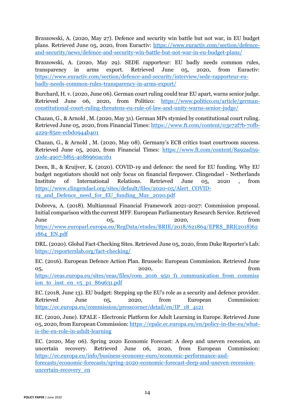Brzozowski, A. (2020, May 27). Defence and security win battle but not war, in EU budget plans. Retrieved June 05, 2020, from Euractiv: [https://www.euractiv.com/section/defence](https://www.euractiv.com/section/defence-and-security/news/defence-and-security-win-battle-but-not-war-in-eu-budget-plans/)[and-security/news/defence-and-security-win-battle-but-not-war-in-eu-budget-plans/](https://www.euractiv.com/section/defence-and-security/news/defence-and-security-win-battle-but-not-war-in-eu-budget-plans/)

Brzozowski, A. (2020, May 29). SEDE rapporteur: EU badly needs common rules, transparency in arms export. Retrieved June 05, 2020, from Euractiv: [https://www.euractiv.com/section/defence-and-security/interview/sede-rapporteur-eu](https://www.euractiv.com/section/defence-and-security/interview/sede-rapporteur-eu-badly-needs-common-rules-transparency-in-arms-export/)[badly-needs-common-rules-transparency-in-arms-export/](https://www.euractiv.com/section/defence-and-security/interview/sede-rapporteur-eu-badly-needs-common-rules-transparency-in-arms-export/)

Burchard, H. v. (2020, June 06). German court ruling could tear EU apart, warns senior judge. Retrieved June 06, 2020, from Politico: [https://www.politico.eu/article/german](https://www.politico.eu/article/german-constitutional-court-ruling-threatens-eu-rule-of-law-and-unity-warns-senior-judge/)[constitutional-court-ruling-threatens-eu-rule-of-law-and-unity-warns-senior-judge/](https://www.politico.eu/article/german-constitutional-court-ruling-threatens-eu-rule-of-law-and-unity-warns-senior-judge/)

Chazan, G., & Arnold , M. (2020, May 31). German MPs stymied by constitutional court ruling. Retrieved June 05, 2020, from Financial Times[: https://www.ft.com/content/03e72f7b-70fb-](https://www.ft.com/content/03e72f7b-70fb-4229-85ee-ecbd0944b401)[4229-85ee-ecbd0944b401](https://www.ft.com/content/03e72f7b-70fb-4229-85ee-ecbd0944b401)

Chazan, G., & Arnold , M. (2020, May 08). Germany's ECB critics toast courtroom success. Retrieved June 05, 2020, from Financial Times: [https://www.ft.com/content/8a92ad59-](https://www.ft.com/content/8a92ad59-50de-4907-bf65-4086960ac161) [50de-4907-bf65-4086960ac161](https://www.ft.com/content/8a92ad59-50de-4907-bf65-4086960ac161)

Deen, B., & Kruijver, K. (2020). COVID-19 and defence: the need for EU funding. Why EU budget negotiators should not only focus on financial firepower. Clingendael - Netherlands Institute of International Relations. Retrieved June 05, 2020 , from [https://www.clingendael.org/sites/default/files/2020-05/Alert\\_COVID-](https://www.clingendael.org/sites/default/files/2020-05/Alert_COVID-19_and_Defence_need_for_EU_funding_May_2020.pdf)[19\\_and\\_Defence\\_need\\_for\\_EU\\_funding\\_May\\_2020.pdf](https://www.clingendael.org/sites/default/files/2020-05/Alert_COVID-19_and_Defence_need_for_EU_funding_May_2020.pdf)

Dobreva, A. (2018). Multiannual Financial Framework 2021-2027: Commission proposal. Initial comparison with the current MFF. European Parliamentary Research Service. Retrieved June  $05,$  2020, from [https://www.europarl.europa.eu/RegData/etudes/BRIE/2018/621864/EPRS\\_BRI\(2018\)62](https://www.europarl.europa.eu/RegData/etudes/BRIE/2018/621864/EPRS_BRI(2018)621864_EN.pdf) [1864\\_EN.pdf](https://www.europarl.europa.eu/RegData/etudes/BRIE/2018/621864/EPRS_BRI(2018)621864_EN.pdf)

DRL.(2020). Global Fact-Checking Sites. Retrieved June 05, 2020, from Duke Reporter's Lab: <https://reporterslab.org/fact-checking/>

EC. (2016). European Defence Action Plan. Brussels: European Commission. Retrieved June 05, 2020, from [https://eeas.europa.eu/sites/eeas/files/com\\_2016\\_950\\_f1\\_communication\\_from\\_commiss](https://eeas.europa.eu/sites/eeas/files/com_2016_950_f1_communication_from_commission_to_inst_en_v5_p1_869631.pdf) ion to inst en v<sub>5</sub> p1  $869631.$ pdf

EC. (2018, June 13). EU budget: Stepping up the EU's role as a security and defence provider. Retrieved June 05, 2020, from European Commission: [https://ec.europa.eu/commission/presscorner/detail/en/IP\\_18\\_4121](https://ec.europa.eu/commission/presscorner/detail/en/IP_18_4121)

EC. (2020, June). EPALE - Electronic Platform for Adult Learning in Europe. Retrieved June 05, 2020, from European Commission[: https://epale.ec.europa.eu/en/policy-in-the-eu/what](https://epale.ec.europa.eu/en/policy-in-the-eu/what-is-the-eu-role-in-adult-learning)[is-the-eu-role-in-adult-learning](https://epale.ec.europa.eu/en/policy-in-the-eu/what-is-the-eu-role-in-adult-learning)

EC. (2020, May 06). Spring 2020 Economic Forecast: A deep and uneven recession, an uncertain recovery. Retrieved June 06, 2020, from European Commission: [https://ec.europa.eu/info/business-economy-euro/economic-performance-and](https://ec.europa.eu/info/business-economy-euro/economic-performance-and-forecasts/economic-forecasts/spring-2020-economic-forecast-deep-and-uneven-recession-uncertain-recovery_en)[forecasts/economic-forecasts/spring-2020-economic-forecast-deep-and-uneven-recession](https://ec.europa.eu/info/business-economy-euro/economic-performance-and-forecasts/economic-forecasts/spring-2020-economic-forecast-deep-and-uneven-recession-uncertain-recovery_en)[uncertain-recovery\\_en](https://ec.europa.eu/info/business-economy-euro/economic-performance-and-forecasts/economic-forecasts/spring-2020-economic-forecast-deep-and-uneven-recession-uncertain-recovery_en)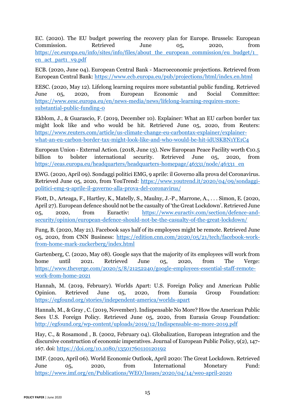EC. (2020). The EU budget powering the recovery plan for Europe. Brussels: European Commission. Retrieved June 05, 2020, from https://ec.europa.eu/info/sites/info/files/about\_the\_european\_commission/eu\_budget/1 [en\\_act\\_part1\\_v9.pdf](https://ec.europa.eu/info/sites/info/files/about_the_european_commission/eu_budget/1_en_act_part1_v9.pdf)

ECB. (2020, June 04). European Central Bank - Macroeconomic projections. Retrieved from European Central Bank:<https://www.ecb.europa.eu/pub/projections/html/index.en.html>

EESC. (2020, May 12). Lifelong learning requires more substantial public funding. Retrieved June 05, 2020, from European Economic and Social Committee: [https://www.eesc.europa.eu/en/news-media/news/lifelong-learning-requires-more](https://www.eesc.europa.eu/en/news-media/news/lifelong-learning-requires-more-substantial-public-funding-0)[substantial-public-funding-0](https://www.eesc.europa.eu/en/news-media/news/lifelong-learning-requires-more-substantial-public-funding-0)

Ekblom, J., & Guarascio, F. (2019, December 10). Explainer: What an EU carbon border tax might look like and who would be hit. Retrieved June 05, 2020, from Reuters: [https://www.reuters.com/article/us-climate-change-eu-carbontax-explainer/explainer](https://www.reuters.com/article/us-climate-change-eu-carbontax-explainer/explainer-what-an-eu-carbon-border-tax-might-look-like-and-who-would-be-hit-idUSKBN1YE1C4)[what-an-eu-carbon-border-tax-might-look-like-and-who-would-be-hit-idUSKBN1YE1C4](https://www.reuters.com/article/us-climate-change-eu-carbontax-explainer/explainer-what-an-eu-carbon-border-tax-might-look-like-and-who-would-be-hit-idUSKBN1YE1C4)

European Union - External Action. (2018, June 13). New European Peace Facility worth €10.5 billion to bolster international security. Retrieved June 05, 2020, from [https://eeas.europa.eu/headquarters/headquarters-homepage/46331/node/46331\\_en](https://eeas.europa.eu/headquarters/headquarters-homepage/46331/node/46331_en)

EWG. (2020, April 09). Sondaggi politici EMG, 9 aprile: il Governo alla prova del Coronavirus. Retrieved June 05, 2020, from YouTrend: [https://www.youtrend.it/2020/04/09/sondaggi](https://www.youtrend.it/2020/04/09/sondaggi-politici-emg-9-aprile-il-governo-alla-prova-del-coronavirus/)[politici-emg-9-aprile-il-governo-alla-prova-del-coronavirus/](https://www.youtrend.it/2020/04/09/sondaggi-politici-emg-9-aprile-il-governo-alla-prova-del-coronavirus/)

Fiott, D., Arteaga, F., Hartley, K., Matelly, S., Maulny, J.-P., Marrone, A., . . . Simon, E. (2020, April 27). European defence should not be the casualty of 'the Great Lockdown'. Retrieved June 05, 2020, from Euractiv: [https://www.euractiv.com/section/defence-and](https://www.euractiv.com/section/defence-and-security/opinion/european-defence-should-not-be-the-casualty-of-the-great-lockdown/)[security/opinion/european-defence-should-not-be-the-casualty-of-the-great-lockdown/](https://www.euractiv.com/section/defence-and-security/opinion/european-defence-should-not-be-the-casualty-of-the-great-lockdown/)

Fung, B. (2020, May 21). Facebook says half of its employees might be remote. Retrieved June 05, 2020, from CNN Business: [https://edition.cnn.com/2020/05/21/tech/facebook-work](https://edition.cnn.com/2020/05/21/tech/facebook-work-from-home-mark-zuckerberg/index.html)[from-home-mark-zuckerberg/index.html](https://edition.cnn.com/2020/05/21/tech/facebook-work-from-home-mark-zuckerberg/index.html)

Gartenberg, C. (2020, May 08). Google says that the majority of its employees will work from home until 2021. Retrieved June 05, 2020, from The Verge: [https://www.theverge.com/2020/5/8/21252240/google-employees-essential-staff-remote](https://www.theverge.com/2020/5/8/21252240/google-employees-essential-staff-remote-work-from-home-2021)[work-from-home-2021](https://www.theverge.com/2020/5/8/21252240/google-employees-essential-staff-remote-work-from-home-2021)

Hannah, M. (2019, February). Worlds Apart: U.S. Foreign Policy and American Public Opinion. Retrieved June 05, 2020, from Eurasia Group Foundation: <https://egfound.org/stories/independent-america/worlds-apart>

Hannah, M., & Gray , C. (2019, November). Indispensable No More? How the American Public Sees U.S. Foreign Policy. Retrieved June 05, 2020, from Eurasia Group Foundation: <http://egfound.org/wp-content/uploads/2019/12/Indispensable-no-more-2019.pdf>

Hay, C., & Rosamond , B. (2002, February 04). Globalization, European integration and the discursive construction of economic imperatives. Journal of European Public Policy, 9(2), 147- 167. doi: <https://doi.org/10.1080/13501760110120192>

IMF. (2020, April 06). World Economic Outlook, April 2020: The Great Lockdown. Retrieved June 05, 2020, from International Monetary Fund: <https://www.imf.org/en/Publications/WEO/Issues/2020/04/14/weo-april-2020>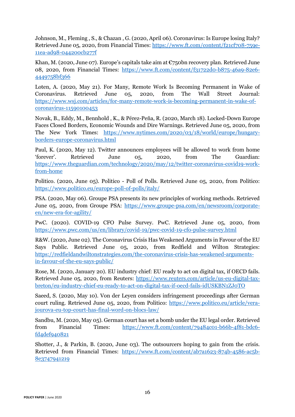Johnson, M., Fleming , S., & Chazan , G. (2020, April 06). Coronavirus: Is Europe losing Italy? Retrieved June 05, 2020, from Financial Times: [https://www.ft.com/content/f21cf708-759e-](https://www.ft.com/content/f21cf708-759e-11ea-ad98-044200cb277f)[11ea-ad98-044200cb277f](https://www.ft.com/content/f21cf708-759e-11ea-ad98-044200cb277f)

Khan, M. (2020, June 07). Europe's capitals take aim at €750bn recovery plan. Retrieved June 08, 2020, from Financial Times: [https://www.ft.com/content/f31722d0-b875-46a9-82e6-](https://www.ft.com/content/f31722d0-b875-46a9-82e6-4449758bf366) [4449758bf366](https://www.ft.com/content/f31722d0-b875-46a9-82e6-4449758bf366)

Loten, A. (2020, May 21). For Many, Remote Work Is Becoming Permanent in Wake of Coronavirus. Retrieved June 05, 2020, from The Wall Street Journal: [https://www.wsj.com/articles/for-many-remote-work-is-becoming-permanent-in-wake-of](https://www.wsj.com/articles/for-many-remote-work-is-becoming-permanent-in-wake-of-coronavirus-11590100453)[coronavirus-11590100453](https://www.wsj.com/articles/for-many-remote-work-is-becoming-permanent-in-wake-of-coronavirus-11590100453)

Novak, B., Eddy, M., Bennhold , K., & Pérez-Peña, R. (2020, March 18). Locked-Down Europe Faces Closed Borders, Economic Wounds and Dire Warnings. Retrieved June 05, 2020, from The New York Times: [https://www.nytimes.com/2020/03/18/world/europe/hungary](https://www.nytimes.com/2020/03/18/world/europe/hungary-borders-europe-coronavirus.html)[borders-europe-coronavirus.html](https://www.nytimes.com/2020/03/18/world/europe/hungary-borders-europe-coronavirus.html)

Paul, K. (2020, May 12). Twitter announces employees will be allowed to work from home 'forever'. Retrieved June 05, 2020, from The Guardian: [https://www.theguardian.com/technology/2020/may/12/twitter-coronavirus-covid19-work](https://www.theguardian.com/technology/2020/may/12/twitter-coronavirus-covid19-work-from-home)[from-home](https://www.theguardian.com/technology/2020/may/12/twitter-coronavirus-covid19-work-from-home)

Politico. (2020, June 05). Politico - Poll of Polls. Retrieved June 05, 2020, from Politico: <https://www.politico.eu/europe-poll-of-polls/italy/>

PSA. (2020, May 06). Groupe PSA presents its new principles of working methods. Retrieved June 05, 2020, from Groupe PSA: [https://www.groupe-psa.com/en/newsroom/corporate](https://www.groupe-psa.com/en/newsroom/corporate-en/new-era-for-agility/)[en/new-era-for-agility/](https://www.groupe-psa.com/en/newsroom/corporate-en/new-era-for-agility/)

PwC. (2020). COVID-19 CFO Pulse Survey. PwC. Retrieved June 05, 2020, from <https://www.pwc.com/us/en/library/covid-19/pwc-covid-19-cfo-pulse-survey.html>

R&W. (2020, June 02). The Coronavirus Crisis Has Weakened Arguments in Favour of the EU Says Public. Retrieved June 05, 2020, from Redfield and Wilton Strategies: [https://redfieldandwiltonstrategies.com/the-coronavirus-crisis-has-weakened-arguments](https://redfieldandwiltonstrategies.com/the-coronavirus-crisis-has-weakened-arguments-in-favour-of-the-eu-says-public/)[in-favour-of-the-eu-says-public/](https://redfieldandwiltonstrategies.com/the-coronavirus-crisis-has-weakened-arguments-in-favour-of-the-eu-says-public/)

Rose, M. (2020, January 20). EU industry chief: EU ready to act on digital tax, if OECD fails. Retrieved June 05, 2020, from Reuters: [https://www.reuters.com/article/us-eu-digital-tax](https://www.reuters.com/article/us-eu-digital-tax-breton/eu-industry-chief-eu-ready-to-act-on-digital-tax-if-oecd-fails-idUSKBN1ZJ0TO)[breton/eu-industry-chief-eu-ready-to-act-on-digital-tax-if-oecd-fails-idUSKBN1ZJ0TO](https://www.reuters.com/article/us-eu-digital-tax-breton/eu-industry-chief-eu-ready-to-act-on-digital-tax-if-oecd-fails-idUSKBN1ZJ0TO)

Saeed, S. (2020, May 10). Von der Leyen considers infringement proceedings after German court ruling. Retrieved June 05, 2020, from Politico: [https://www.politico.eu/article/vera](https://www.politico.eu/article/vera-jourova-eu-top-court-has-final-word-on-blocs-law/)[jourova-eu-top-court-has-final-word-on-blocs-law/](https://www.politico.eu/article/vera-jourova-eu-top-court-has-final-word-on-blocs-law/)

Sandbu, M. (2020, May 05). German court has set a bomb under the EU legal order. Retrieved from Financial Times: [https://www.ft.com/content/79484c01-b66b-4f81-bdc6](https://www.ft.com/content/79484c01-b66b-4f81-bdc6-fd4def940821) [fd4def940821](https://www.ft.com/content/79484c01-b66b-4f81-bdc6-fd4def940821)

Shotter, J., & Parkin, B. (2020, June 03). The outsourcers hoping to gain from the crisis. Retrieved from Financial Times: [https://www.ft.com/content/ab7a1623-874b-4586-ac5b-](https://www.ft.com/content/ab7a1623-874b-4586-ac5b-8e3747941219)[8e3747941219](https://www.ft.com/content/ab7a1623-874b-4586-ac5b-8e3747941219)